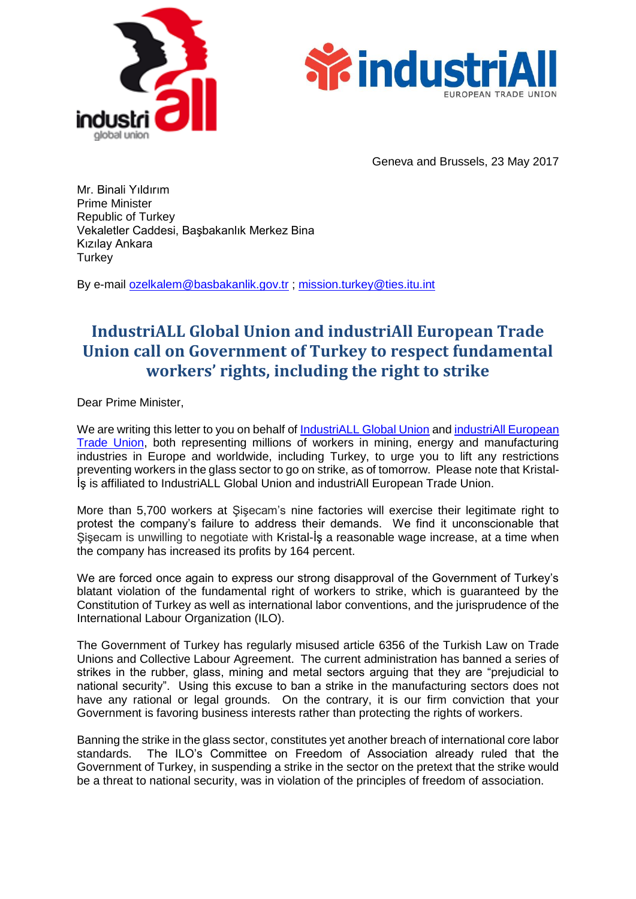



Geneva and Brussels, 23 May 2017

Mr. Binali Yıldırım Prime Minister Republic of Turkey Vekaletler Caddesi, Başbakanlık Merkez Bina Kızılay Ankara **Turkey** 

By e-mail [ozelkalem@basbakanlik.gov.tr](mailto:ozelkalem@basbakanlik.gov.tr) ; [mission.turkey@ties.itu.int](mailto:mission.turkey@ties.itu.int)

## **IndustriALL Global Union and industriAll European Trade Union call on Government of Turkey to respect fundamental workers' rights, including the right to strike**

Dear Prime Minister,

We are writing this letter to you on behalf of [IndustriALL Global Union](http://www.industriall-union.org/) and industriAll European [Trade Union,](http://www.industriall-europe.eu/) both representing millions of workers in mining, energy and manufacturing industries in Europe and worldwide, including Turkey, to urge you to lift any restrictions preventing workers in the glass sector to go on strike, as of tomorrow. Please note that Kristal-İş is affiliated to IndustriALL Global Union and industriAll European Trade Union.

More than 5,700 workers at Şişecam's nine factories will exercise their legitimate right to protest the company's failure to address their demands. We find it unconscionable that Şişecam is unwilling to negotiate with Kristal-İş a reasonable wage increase, at a time when the company has increased its profits by 164 percent.

We are forced once again to express our strong disapproval of the Government of Turkey's blatant violation of the fundamental right of workers to strike, which is guaranteed by the Constitution of Turkey as well as international labor conventions, and the jurisprudence of the International Labour Organization (ILO).

The Government of Turkey has regularly misused article 6356 of the Turkish Law on Trade Unions and Collective Labour Agreement. The current administration has banned a series of strikes in the rubber, glass, mining and metal sectors arguing that they are "prejudicial to national security". Using this excuse to ban a strike in the manufacturing sectors does not have any rational or legal grounds. On the contrary, it is our firm conviction that your Government is favoring business interests rather than protecting the rights of workers.

Banning the strike in the glass sector, constitutes yet another breach of international core labor standards. The ILO's Committee on Freedom of Association already ruled that the Government of Turkey, in suspending a strike in the sector on the pretext that the strike would be a threat to national security, was in violation of the principles of freedom of association.